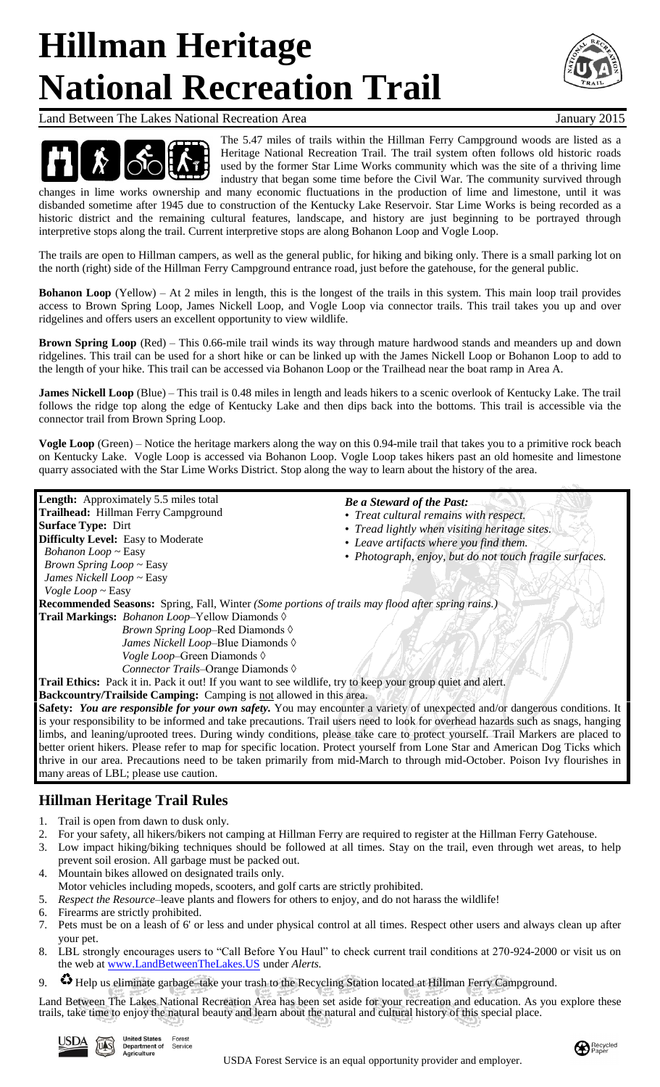# **Hillman Heritage National Recreation Trail**



Land Between The Lakes National Recreation Area January 2015



The 5.47 miles of trails within the Hillman Ferry Campground woods are listed as a Heritage National Recreation Trail. The trail system often follows old historic roads used by the former Star Lime Works community which was the site of a thriving lime industry that began some time before the Civil War. The community survived through

changes in lime works ownership and many economic fluctuations in the production of lime and limestone, until it was disbanded sometime after 1945 due to construction of the Kentucky Lake Reservoir. Star Lime Works is being recorded as a historic district and the remaining cultural features, landscape, and history are just beginning to be portrayed through interpretive stops along the trail. Current interpretive stops are along Bohanon Loop and Vogle Loop.

The trails are open to Hillman campers, as well as the general public, for hiking and biking only. There is a small parking lot on the north (right) side of the Hillman Ferry Campground entrance road, just before the gatehouse, for the general public.

**Bohanon Loop** (Yellow) – At 2 miles in length, this is the longest of the trails in this system. This main loop trail provides access to Brown Spring Loop, James Nickell Loop, and Vogle Loop via connector trails. This trail takes you up and over ridgelines and offers users an excellent opportunity to view wildlife.

**Brown Spring Loop** (Red) – This 0.66-mile trail winds its way through mature hardwood stands and meanders up and down ridgelines. This trail can be used for a short hike or can be linked up with the James Nickell Loop or Bohanon Loop to add to the length of your hike. This trail can be accessed via Bohanon Loop or the Trailhead near the boat ramp in Area A.

**James Nickell Loop** (Blue) – This trail is 0.48 miles in length and leads hikers to a scenic overlook of Kentucky Lake. The trail follows the ridge top along the edge of Kentucky Lake and then dips back into the bottoms. This trail is accessible via the connector trail from Brown Spring Loop.

**Vogle Loop** (Green) – Notice the heritage markers along the way on this 0.94-mile trail that takes you to a primitive rock beach on Kentucky Lake. Vogle Loop is accessed via Bohanon Loop. Vogle Loop takes hikers past an old homesite and limestone quarry associated with the Star Lime Works District. Stop along the way to learn about the history of the area.

| Length: Approximately 5.5 miles total                                                                                            | <b>Be a Steward of the Past:</b>                        |
|----------------------------------------------------------------------------------------------------------------------------------|---------------------------------------------------------|
| Trailhead: Hillman Ferry Campground                                                                                              | • Treat cultural remains with respect.                  |
| <b>Surface Type: Dirt</b>                                                                                                        | • Tread lightly when visiting heritage sites.           |
| <b>Difficulty Level:</b> Easy to Moderate                                                                                        | • Leave artifacts where you find them.                  |
| Bohanon Loop ~ Easy                                                                                                              | • Photograph, enjoy, but do not touch fragile surfaces. |
| Brown Spring Loop ~ Easy                                                                                                         |                                                         |
| James Nickell Loop ~ Easy                                                                                                        |                                                         |
| Vogle Loop $\sim$ Easy                                                                                                           |                                                         |
| <b>Recommended Seasons:</b> Spring, Fall, Winter (Some portions of trails may flood after spring rains.)                         |                                                         |
| Trail Markings: Bohanon Loop-Yellow Diamonds $\Diamond$                                                                          |                                                         |
| Brown Spring Loop-Red Diamonds $\Diamond$                                                                                        |                                                         |
| James Nickell Loop-Blue Diamonds $\Diamond$                                                                                      |                                                         |
| Vogle Loop-Green Diamonds $\Diamond$                                                                                             |                                                         |
| Connector Trails-Orange Diamonds $\Diamond$                                                                                      |                                                         |
| Trail Ethics: Pack it in. Pack it out! If you want to see wildlife, try to keep your group quiet and alert.                      |                                                         |
| Backcountry/Trailside Camping: Camping is not allowed in this area.                                                              |                                                         |
| Safety: You are responsible for your own safety. You may encounter a variety of unexpected and/or dangerous conditions. It       |                                                         |
| is your responsibility to be informed and take precautions. Trail users need to look for overhead hazards such as snags, hanging |                                                         |
| limbs, and leaning/uprooted trees. During windy conditions, please take care to protect yourself. Trail Markers are placed to    |                                                         |
| better orient hikers. Please refer to map for specific location. Protect yourself from Lone Star and American Dog Ticks which    |                                                         |
| thrive in our area. Precautions need to be taken primarily from mid-March to through mid-October. Poison Ivy flourishes in       |                                                         |
| many areas of LBL; please use caution.                                                                                           |                                                         |
|                                                                                                                                  |                                                         |

### **Hillman Heritage Trail Rules**

- 1. Trail is open from dawn to dusk only.
- 2. For your safety, all hikers/bikers not camping at Hillman Ferry are required to register at the Hillman Ferry Gatehouse.
- 3. Low impact hiking/biking techniques should be followed at all times. Stay on the trail, even through wet areas, to help prevent soil erosion. All garbage must be packed out.
- 4. Mountain bikes allowed on designated trails only.
- Motor vehicles including mopeds, scooters, and golf carts are strictly prohibited.
- 5. *Respect the Resource*–leave plants and flowers for others to enjoy, and do not harass the wildlife!
- 6. Firearms are strictly prohibited.
- 7. Pets must be on a leash of 6' or less and under physical control at all times. Respect other users and always clean up after your pet.
- 8. LBL strongly encourages users to "Call Before You Haul" to check current trail conditions at 270-924-2000 or visit us on the web at [www.LandBetweenTheLakes.U](http://www.landbetweenthelakes.us/)S under *Alerts*.
- 9.  $\bullet$  Help us eliminate garbage–take your trash to the Recycling Station located at Hillman Ferry Campground.

Land Between The Lakes National Recreation Area has been set aside for your recreation and education. As you explore these trails, take time to enjoy the natural beauty and learn about the natural and cultural history of this special place.